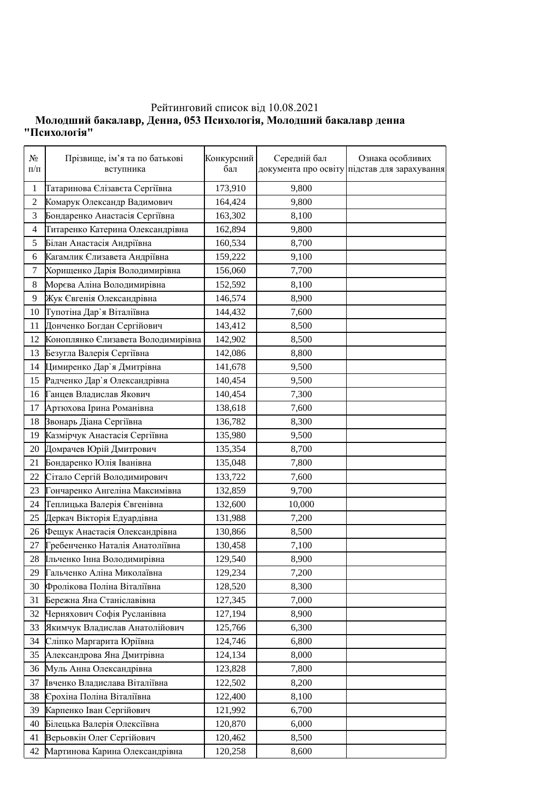## Рейтинговий список від 10.08.2021 **Молодший бакалавр, Денна, 053 Психологія, Молодший бакалавр денна** "Психологія"

| $N_{\! \! \! \Omega}$<br>$\Pi/\Pi$ | Прізвище, ім'я та по батькові<br>вступника | Конкурсний<br>бал | Середній бал | Ознака особливих<br>документа про освіту підстав для зарахування |
|------------------------------------|--------------------------------------------|-------------------|--------------|------------------------------------------------------------------|
| 1                                  | Татаринова Єлізавєта Сергіївна             | 173,910           | 9,800        |                                                                  |
| $\overline{c}$                     | Комарук Олександр Вадимович                | 164,424           | 9,800        |                                                                  |
| 3                                  | Бондаренко Анастасія Сергіївна             | 163,302           | 8,100        |                                                                  |
| $\overline{4}$                     | Титаренко Катерина Олександрівна           | 162,894           | 9,800        |                                                                  |
| 5                                  | Білан Анастасія Андріївна                  | 160,534           | 8,700        |                                                                  |
| 6                                  | Кагамлик Єлизавета Андріївна               | 159,222           | 9,100        |                                                                  |
| $\tau$                             | Хорищенко Дарія Володимирівна              | 156,060           | 7,700        |                                                                  |
| 8                                  | Морєва Аліна Володимирівна                 | 152,592           | 8,100        |                                                                  |
| 9                                  | Жук Євгенія Олександрівна                  | 146,574           | 8,900        |                                                                  |
| 10                                 | Тупотіна Дар'я Віталіївна                  | 144,432           | 7,600        |                                                                  |
| 11                                 | Донченко Богдан Сергійович                 | 143,412           | 8,500        |                                                                  |
| 12                                 | Коноплянко Єлизавета Володимирівна         | 142,902           | 8,500        |                                                                  |
| 13                                 | Безугла Валерія Сергіївна                  | 142,086           | 8,800        |                                                                  |
| 14                                 | Цимиренко Дар'я Дмитрівна                  | 141,678           | 9,500        |                                                                  |
| 15                                 | Радченко Дар'я Олександрівна               | 140,454           | 9,500        |                                                                  |
| 16                                 | Ганцев Владислав Якович                    | 140,454           | 7,300        |                                                                  |
| 17                                 | Артюхова Ірина Романівна                   | 138,618           | 7,600        |                                                                  |
| 18                                 | Ввонарь Діана Сергіївна                    | 136,782           | 8,300        |                                                                  |
| 19                                 | Казмірчук Анастасія Сергіївна              | 135,980           | 9,500        |                                                                  |
| 20                                 | Домрачев Юрій Дмитрович                    | 135,354           | 8,700        |                                                                  |
| 21                                 | Бондаренко Юлія Іванівна                   | 135,048           | 7,800        |                                                                  |
| 22                                 | Сітало Сергій Володимирович                | 133,722           | 7,600        |                                                                  |
| 23                                 | Гончаренко Ангеліна Максимівна             | 132,859           | 9,700        |                                                                  |
| 24                                 | Теплицька Валерія Євгенівна                | 132,600           | 10,000       |                                                                  |
| 25                                 | Деркач Вікторія Едуардівна                 | 131,988           | 7,200        |                                                                  |
| 26                                 | Фещук Анастасія Олександрівна              | 130,866           | 8,500        |                                                                  |
| 27                                 | Гребенченко Наталія Анатоліївна            | 130,458           | 7,100        |                                                                  |
| 28                                 | Ільченко Інна Володимирівна                | 129,540           | 8,900        |                                                                  |
| 29                                 | Гальченко Аліна Миколаївна                 | 129,234           | 7,200        |                                                                  |
| 30                                 | Фролікова Поліна Віталіївна                | 128,520           | 8,300        |                                                                  |
| 31                                 | Бережна Яна Станіславівна                  | 127,345           | 7,000        |                                                                  |
| 32                                 | Черняхович Софія Русланівна                | 127,194           | 8,900        |                                                                  |
| 33                                 | Якимчук Владислав Анатолійович             | 125,766           | 6,300        |                                                                  |
| 34                                 | Сліпко Маргарита Юріївна                   | 124,746           | 6,800        |                                                                  |
| 35                                 | Александрова Яна Дмитрівна                 | 124,134           | 8,000        |                                                                  |
| 36                                 | Муль Анна Олександрівна                    | 123,828           | 7,800        |                                                                  |
| 37                                 | Івченко Владислава Віталіївна              | 122,502           | 8,200        |                                                                  |
| 38                                 | Єрохіна Поліна Віталіївна                  | 122,400           | 8,100        |                                                                  |
| 39                                 | Карпенко Іван Сергійович                   | 121,992           | 6,700        |                                                                  |
| 40                                 | Білецька Валерія Олексіївна                | 120,870           | 6,000        |                                                                  |
| 41                                 | Верьовкін Олег Сергійович                  | 120,462           | 8,500        |                                                                  |
| 42                                 | Мартинова Карина Олександрівна             | 120,258           | 8,600        |                                                                  |